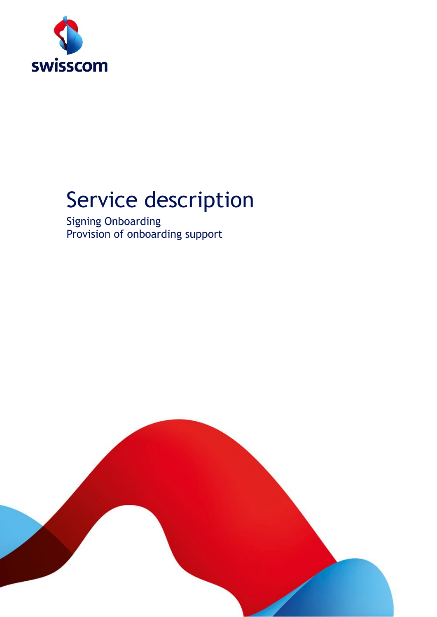

# Service description

Signing Onboarding Provision of onboarding support

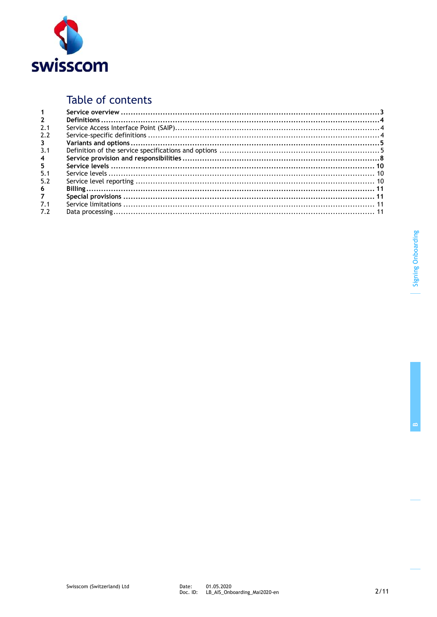

### Table of contents

| $\overline{2}$          |  |
|-------------------------|--|
| 2.1                     |  |
| 2.2                     |  |
| $\mathbf{3}$            |  |
| 3.1                     |  |
| $\overline{\mathbf{4}}$ |  |
| 5                       |  |
| 5.1                     |  |
| 5.2                     |  |
| 6                       |  |
| $7^{\circ}$             |  |
| 7.1                     |  |
| 7.2                     |  |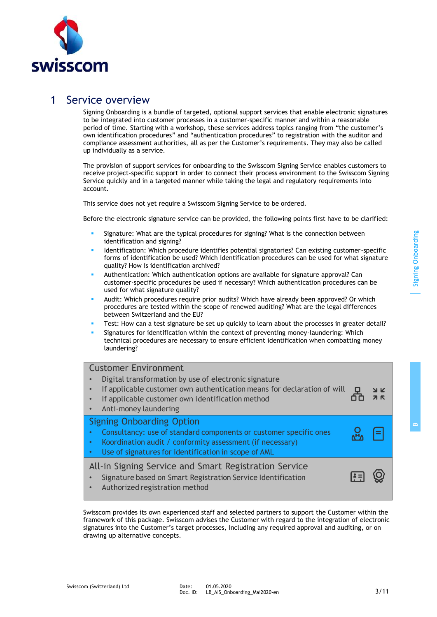

### 1 Service overview

Signing Onboarding is a bundle of targeted, optional support services that enable electronic signatures to be integrated into customer processes in a customer-specific manner and within a reasonable period of time. Starting with a workshop, these services address topics ranging from "the customer's own identification procedures" and "authentication procedures" to registration with the auditor and compliance assessment authorities, all as per the Customer's requirements. They may also be called up individually as a service.

The provision of support services for onboarding to the Swisscom Signing Service enables customers to receive project-specific support in order to connect their process environment to the Swisscom Signing Service quickly and in a targeted manner while taking the legal and regulatory requirements into account.

This service does not yet require a Swisscom Signing Service to be ordered.

Before the electronic signature service can be provided, the following points first have to be clarified:

- Signature: What are the typical procedures for signing? What is the connection between identification and signing?
- Identification: Which procedure identifies potential signatories? Can existing customer-specific forms of identification be used? Which identification procedures can be used for what signature quality? How is identification archived?
- Authentication: Which authentication options are available for signature approval? Can customer-specific procedures be used if necessary? Which authentication procedures can be used for what signature quality?
- Audit: Which procedures require prior audits? Which have already been approved? Or which procedures are tested within the scope of renewed auditing? What are the legal differences between Switzerland and the EU?
- Test: How can a test signature be set up quickly to learn about the processes in greater detail?
- Signatures for identification within the context of preventing money-laundering: Which technical procedures are necessary to ensure efficient identification when combatting money laundering?

#### Customer Environment

- Digital transformation by use of electronic signature • If applicable customer own authentication means for declaration of will O  $N$   $K$ රිර  $7K$  If applicable customer own identification method Anti-money laundering Signing Onboarding Option Consultancy: use of standard components or customer specific ones Koordination audit / conformity assessment (if necessary)
- Use of signatures for identification in scope of AML

All-in Signing Service and Smart Registration Service

- •Signature based on Smart Registration Service Identification
- Authorized registration method

Swisscom provides its own experienced staff and selected partners to support the Customer within the framework of this package. Swisscom advises the Customer with regard to the integration of electronic signatures into the Customer's target processes, including any required approval and auditing, or on drawing up alternative concepts.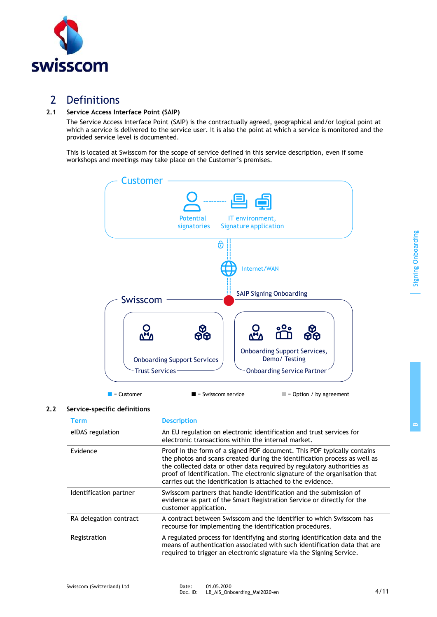

Signing Onboarding

Signing Onboarding

# 2 Definitions

swisscom

### **2.1 Service Access Interface Point (SAIP)**

The Service Access Interface Point (SAIP) is the contractually agreed, geographical and/or logical point at which a service is delivered to the service user. It is also the point at which a service is monitored and the provided service level is documented.

This is located at Swisscom for the scope of service defined in this service description, even if some workshops and meetings may take place on the Customer's premises.



 $\blacksquare$  = Customer  $\blacksquare$  = Swisscom service  $\blacksquare$  = Option / by agreement

#### **2.2 Service-specific definitions**

| <b>Term</b>            | <b>Description</b>                                                                                                                                                                                                                                                                                                                                                          |
|------------------------|-----------------------------------------------------------------------------------------------------------------------------------------------------------------------------------------------------------------------------------------------------------------------------------------------------------------------------------------------------------------------------|
| elDAS regulation       | An EU regulation on electronic identification and trust services for<br>electronic transactions within the internal market.                                                                                                                                                                                                                                                 |
| Evidence               | Proof in the form of a signed PDF document. This PDF typically contains<br>the photos and scans created during the identification process as well as<br>the collected data or other data required by regulatory authorities as<br>proof of identification. The electronic signature of the organisation that<br>carries out the identification is attached to the evidence. |
| Identification partner | Swisscom partners that handle identification and the submission of<br>evidence as part of the Smart Registration Service or directly for the<br>customer application.                                                                                                                                                                                                       |
| RA delegation contract | A contract between Swisscom and the identifier to which Swisscom has<br>recourse for implementing the identification procedures.                                                                                                                                                                                                                                            |
| Registration           | A regulated process for identifying and storing identification data and the<br>means of authentication associated with such identification data that are<br>required to trigger an electronic signature via the Signing Service.                                                                                                                                            |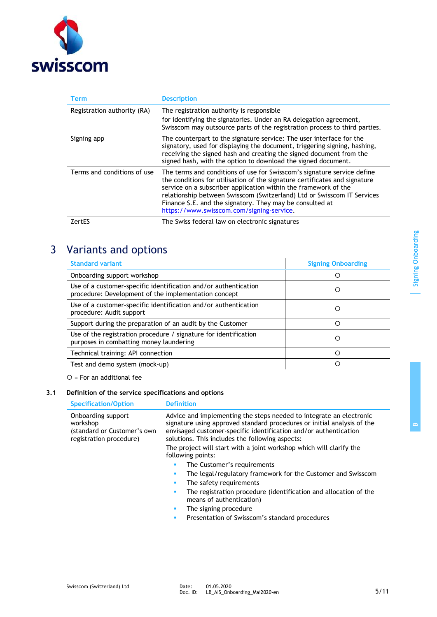

| Term                        | <b>Description</b>                                                                                                                                                                                                                                                                                                                                                                                           |
|-----------------------------|--------------------------------------------------------------------------------------------------------------------------------------------------------------------------------------------------------------------------------------------------------------------------------------------------------------------------------------------------------------------------------------------------------------|
| Registration authority (RA) | The registration authority is responsible<br>for identifying the signatories. Under an RA delegation agreement,<br>Swisscom may outsource parts of the registration process to third parties.                                                                                                                                                                                                                |
| Signing app                 | The counterpart to the signature service: The user interface for the<br>signatory, used for displaying the document, triggering signing, hashing,<br>receiving the signed hash and creating the signed document from the<br>signed hash, with the option to download the signed document.                                                                                                                    |
| Terms and conditions of use | The terms and conditions of use for Swisscom's signature service define<br>the conditions for utilisation of the signature certificates and signature<br>service on a subscriber application within the framework of the<br>relationship between Swisscom (Switzerland) Ltd or Swisscom IT Services<br>Finance S.E. and the signatory. They may be consulted at<br>https://www.swisscom.com/signing-service. |
| ZertES                      | The Swiss federal law on electronic signatures                                                                                                                                                                                                                                                                                                                                                               |

# 3 Variants and options

| <b>Standard variant</b>                                                                                                 | <b>Signing Onboarding</b> |
|-------------------------------------------------------------------------------------------------------------------------|---------------------------|
| Onboarding support workshop                                                                                             | Ω                         |
| Use of a customer-specific identification and/or authentication<br>procedure: Development of the implementation concept | O                         |
| Use of a customer-specific identification and/or authentication<br>procedure: Audit support                             | O                         |
| Support during the preparation of an audit by the Customer                                                              | Ω                         |
| Use of the registration procedure / signature for identification<br>purposes in combatting money laundering             | Ω                         |
| Technical training: API connection                                                                                      | O                         |
| Test and demo system (mock-up)                                                                                          | ∩                         |

 $O =$  For an additional fee

# **3.1 Definition of the service specifications and options**

| <b>Specification/Option</b>                                                              | <b>Definition</b>                                                                                                                                                                                                                                                     |
|------------------------------------------------------------------------------------------|-----------------------------------------------------------------------------------------------------------------------------------------------------------------------------------------------------------------------------------------------------------------------|
| Onboarding support<br>workshop<br>(standard or Customer's own<br>registration procedure) | Advice and implementing the steps needed to integrate an electronic<br>signature using approved standard procedures or initial analysis of the<br>envisaged customer-specific identification and/or authentication<br>solutions. This includes the following aspects: |
|                                                                                          | The project will start with a joint workshop which will clarify the<br>following points:                                                                                                                                                                              |
|                                                                                          | The Customer's requirements                                                                                                                                                                                                                                           |
|                                                                                          | The legal/regulatory framework for the Customer and Swisscom<br>٠                                                                                                                                                                                                     |
|                                                                                          | The safety requirements                                                                                                                                                                                                                                               |
|                                                                                          | The registration procedure (identification and allocation of the<br>means of authentication)                                                                                                                                                                          |
|                                                                                          | The signing procedure<br>٠                                                                                                                                                                                                                                            |
|                                                                                          | Presentation of Swisscom's standard procedures                                                                                                                                                                                                                        |
|                                                                                          |                                                                                                                                                                                                                                                                       |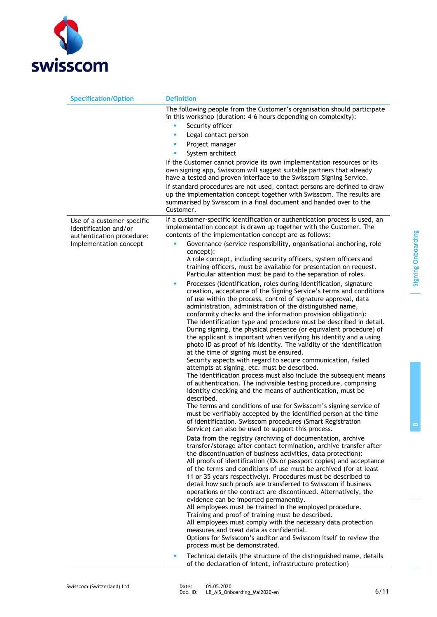

| <b>Specification/Option</b>                                                      | <b>Definition</b>                                                                                                                                                                                                                                                                                                                                                                                                                                                                                                                                                                                                                                                                                                                                                                                                                                                                                                                                                                                                                                                                                                                                                                                                                                                                                                                                                                                                                                                                                          |
|----------------------------------------------------------------------------------|------------------------------------------------------------------------------------------------------------------------------------------------------------------------------------------------------------------------------------------------------------------------------------------------------------------------------------------------------------------------------------------------------------------------------------------------------------------------------------------------------------------------------------------------------------------------------------------------------------------------------------------------------------------------------------------------------------------------------------------------------------------------------------------------------------------------------------------------------------------------------------------------------------------------------------------------------------------------------------------------------------------------------------------------------------------------------------------------------------------------------------------------------------------------------------------------------------------------------------------------------------------------------------------------------------------------------------------------------------------------------------------------------------------------------------------------------------------------------------------------------------|
|                                                                                  | The following people from the Customer's organisation should participate<br>in this workshop (duration: 4-6 hours depending on complexity):<br>Security officer<br>٠<br>Legal contact person<br>٠                                                                                                                                                                                                                                                                                                                                                                                                                                                                                                                                                                                                                                                                                                                                                                                                                                                                                                                                                                                                                                                                                                                                                                                                                                                                                                          |
|                                                                                  | Project manager<br>×                                                                                                                                                                                                                                                                                                                                                                                                                                                                                                                                                                                                                                                                                                                                                                                                                                                                                                                                                                                                                                                                                                                                                                                                                                                                                                                                                                                                                                                                                       |
|                                                                                  | n,<br>System architect                                                                                                                                                                                                                                                                                                                                                                                                                                                                                                                                                                                                                                                                                                                                                                                                                                                                                                                                                                                                                                                                                                                                                                                                                                                                                                                                                                                                                                                                                     |
|                                                                                  | If the Customer cannot provide its own implementation resources or its<br>own signing app, Swisscom will suggest suitable partners that already<br>have a tested and proven interface to the Swisscom Signing Service.                                                                                                                                                                                                                                                                                                                                                                                                                                                                                                                                                                                                                                                                                                                                                                                                                                                                                                                                                                                                                                                                                                                                                                                                                                                                                     |
|                                                                                  | If standard procedures are not used, contact persons are defined to draw<br>up the implementation concept together with Swisscom. The results are<br>summarised by Swisscom in a final document and handed over to the<br>Customer.                                                                                                                                                                                                                                                                                                                                                                                                                                                                                                                                                                                                                                                                                                                                                                                                                                                                                                                                                                                                                                                                                                                                                                                                                                                                        |
| Use of a customer-specific<br>identification and/or<br>authentication procedure: | If a customer-specific identification or authentication process is used, an<br>implementation concept is drawn up together with the Customer. The<br>contents of the implementation concept are as follows:                                                                                                                                                                                                                                                                                                                                                                                                                                                                                                                                                                                                                                                                                                                                                                                                                                                                                                                                                                                                                                                                                                                                                                                                                                                                                                |
| Implementation concept                                                           | Governance (service responsibility, organisational anchoring, role<br>٠                                                                                                                                                                                                                                                                                                                                                                                                                                                                                                                                                                                                                                                                                                                                                                                                                                                                                                                                                                                                                                                                                                                                                                                                                                                                                                                                                                                                                                    |
|                                                                                  | concept):<br>A role concept, including security officers, system officers and<br>training officers, must be available for presentation on request.<br>Particular attention must be paid to the separation of roles.<br>Processes (identification, roles during identification, signature<br>٠<br>creation, acceptance of the Signing Service's terms and conditions<br>of use within the process, control of signature approval, data<br>administration, administration of the distinguished name,<br>conformity checks and the information provision obligation):<br>The identification type and procedure must be described in detail.<br>During signing, the physical presence (or equivalent procedure) of<br>the applicant is important when verifying his identity and a using<br>photo ID as proof of his identity. The validity of the identification<br>at the time of signing must be ensured.<br>Security aspects with regard to secure communication, failed<br>attempts at signing, etc. must be described.<br>The identification process must also include the subsequent means<br>of authentication. The indivisible testing procedure, comprising<br>identity checking and the means of authentication, must be<br>described.<br>The terms and conditions of use for Swisscom's signing service of<br>must be verifiably accepted by the identified person at the time<br>of identification. Swisscom procedures (Smart Registration<br>Service) can also be used to support this process. |
|                                                                                  | Data from the registry (archiving of documentation, archive<br>transfer/storage after contact termination, archive transfer after<br>the discontinuation of business activities, data protection):<br>All proofs of identification (IDs or passport copies) and acceptance<br>of the terms and conditions of use must be archived (for at least<br>11 or 35 years respectively). Procedures must be described to<br>detail how such proofs are transferred to Swisscom if business<br>operations or the contract are discontinued. Alternatively, the<br>evidence can be imported permanently.<br>All employees must be trained in the employed procedure.<br>Training and proof of training must be described.<br>All employees must comply with the necessary data protection<br>measures and treat data as confidential.<br>Options for Swisscom's auditor and Swisscom itself to review the<br>process must be demonstrated.<br>Technical details (the structure of the distinguished name, details<br>٠                                                                                                                                                                                                                                                                                                                                                                                                                                                                                               |
|                                                                                  | of the declaration of intent, infrastructure protection)                                                                                                                                                                                                                                                                                                                                                                                                                                                                                                                                                                                                                                                                                                                                                                                                                                                                                                                                                                                                                                                                                                                                                                                                                                                                                                                                                                                                                                                   |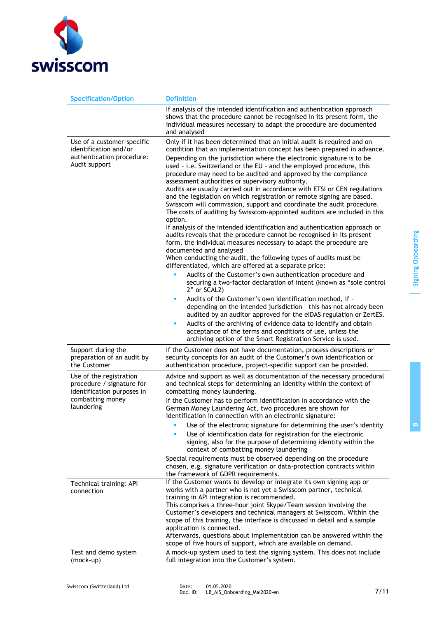

| <b>Specification/Option</b>                                                                                          | <b>Definition</b>                                                                                                                                                                                                                                                                                                                                                                                                                                                                                                                                                                                                                                                                                                                                                                                                                                                                                                                                                                                                                                                                                                                                                                                                                                                                                                                                           |
|----------------------------------------------------------------------------------------------------------------------|-------------------------------------------------------------------------------------------------------------------------------------------------------------------------------------------------------------------------------------------------------------------------------------------------------------------------------------------------------------------------------------------------------------------------------------------------------------------------------------------------------------------------------------------------------------------------------------------------------------------------------------------------------------------------------------------------------------------------------------------------------------------------------------------------------------------------------------------------------------------------------------------------------------------------------------------------------------------------------------------------------------------------------------------------------------------------------------------------------------------------------------------------------------------------------------------------------------------------------------------------------------------------------------------------------------------------------------------------------------|
|                                                                                                                      | If analysis of the intended identification and authentication approach<br>shows that the procedure cannot be recognised in its present form, the<br>individual measures necessary to adapt the procedure are documented<br>and analysed                                                                                                                                                                                                                                                                                                                                                                                                                                                                                                                                                                                                                                                                                                                                                                                                                                                                                                                                                                                                                                                                                                                     |
| Use of a customer-specific<br>identification and/or<br>authentication procedure:<br>Audit support                    | Only if it has been determined that an initial audit is required and on<br>condition that an implementation concept has been prepared in advance.<br>Depending on the jurisdiction where the electronic signature is to be<br>used - i.e. Switzerland or the EU - and the employed procedure, this<br>procedure may need to be audited and approved by the compliance<br>assessment authorities or supervisory authority.<br>Audits are usually carried out in accordance with ETSI or CEN regulations<br>and the legislation on which registration or remote signing are based.<br>Swisscom will commission, support and coordinate the audit procedure.<br>The costs of auditing by Swisscom-appointed auditors are included in this<br>option.<br>If analysis of the intended identification and authentication approach or<br>audits reveals that the procedure cannot be recognised in its present<br>form, the individual measures necessary to adapt the procedure are<br>documented and analysed<br>When conducting the audit, the following types of audits must be<br>differentiated, which are offered at a separate price:<br>Audits of the Customer's own authentication procedure and<br>securing a two-factor declaration of intent (known as "sole control<br>2" or SCAL2)<br>Audits of the Customer's own identification method, if -<br>× |
|                                                                                                                      | depending on the intended jurisdiction - this has not already been<br>audited by an auditor approved for the eIDAS regulation or ZertES.<br>Audits of the archiving of evidence data to identify and obtain<br>a,<br>acceptance of the terms and conditions of use, unless the<br>archiving option of the Smart Registration Service is used.                                                                                                                                                                                                                                                                                                                                                                                                                                                                                                                                                                                                                                                                                                                                                                                                                                                                                                                                                                                                               |
| Support during the<br>preparation of an audit by<br>the Customer                                                     | If the Customer does not have documentation, process descriptions or<br>security concepts for an audit of the Customer's own identification or<br>authentication procedure, project-specific support can be provided.                                                                                                                                                                                                                                                                                                                                                                                                                                                                                                                                                                                                                                                                                                                                                                                                                                                                                                                                                                                                                                                                                                                                       |
| Use of the registration<br>procedure / signature for<br>identification purposes in<br>combatting money<br>laundering | Advice and support as well as documentation of the necessary procedural<br>and technical steps for determining an identity within the context of<br>combatting money laundering.<br>If the Customer has to perform identification in accordance with the<br>German Money Laundering Act, two procedures are shown for<br>identification in connection with an electronic signature:<br>Use of the electronic signature for determining the user's identity<br>п<br>Use of identification data for registration for the electronic<br>٠<br>signing, also for the purpose of determining identity within the                                                                                                                                                                                                                                                                                                                                                                                                                                                                                                                                                                                                                                                                                                                                                  |
|                                                                                                                      | context of combatting money laundering<br>Special requirements must be observed depending on the procedure<br>chosen, e.g. signature verification or data-protection contracts within<br>the framework of GDPR requirements.                                                                                                                                                                                                                                                                                                                                                                                                                                                                                                                                                                                                                                                                                                                                                                                                                                                                                                                                                                                                                                                                                                                                |
| Technical training: API<br>connection                                                                                | If the Customer wants to develop or integrate its own signing app or<br>works with a partner who is not yet a Swisscom partner, technical<br>training in API integration is recommended.<br>This comprises a three-hour joint Skype/Team session involving the<br>Customer's developers and technical managers at Swisscom. Within the<br>scope of this training, the interface is discussed in detail and a sample<br>application is connected.<br>Afterwards, questions about implementation can be answered within the<br>scope of five hours of support, which are available on demand.                                                                                                                                                                                                                                                                                                                                                                                                                                                                                                                                                                                                                                                                                                                                                                 |
| Test and demo system<br>(mock-up)                                                                                    | A mock-up system used to test the signing system. This does not include<br>full integration into the Customer's system.                                                                                                                                                                                                                                                                                                                                                                                                                                                                                                                                                                                                                                                                                                                                                                                                                                                                                                                                                                                                                                                                                                                                                                                                                                     |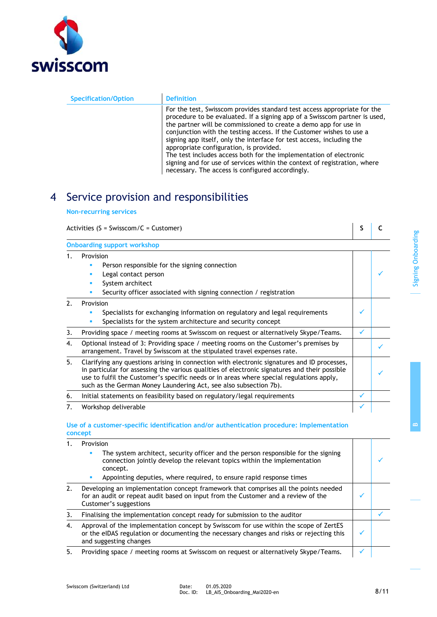

| <b>Specification/Option</b> | <b>Definition</b>                                                                                                                                                                                                                                                                                                                                                                                                                                                                                                                                                                                                             |
|-----------------------------|-------------------------------------------------------------------------------------------------------------------------------------------------------------------------------------------------------------------------------------------------------------------------------------------------------------------------------------------------------------------------------------------------------------------------------------------------------------------------------------------------------------------------------------------------------------------------------------------------------------------------------|
|                             | For the test, Swisscom provides standard test access appropriate for the<br>procedure to be evaluated. If a signing app of a Swisscom partner is used,<br>the partner will be commissioned to create a demo app for use in<br>conjunction with the testing access. If the Customer wishes to use a<br>signing app itself, only the interface for test access, including the<br>appropriate configuration, is provided.<br>The test includes access both for the implementation of electronic<br>signing and for use of services within the context of registration, where<br>necessary. The access is configured accordingly. |

# 4 Service provision and responsibilities

#### **Non-recurring services**

|                | Activities ( $S = Swisscom/C = Customer$ )                                                                                                                                                                                                                                                                                                                    |   |  |
|----------------|---------------------------------------------------------------------------------------------------------------------------------------------------------------------------------------------------------------------------------------------------------------------------------------------------------------------------------------------------------------|---|--|
|                | <b>Onboarding support workshop</b>                                                                                                                                                                                                                                                                                                                            |   |  |
| 1.             | Provision<br>Person responsible for the signing connection<br>п<br>Legal contact person<br>٠<br>System architect<br>٠<br>п                                                                                                                                                                                                                                    |   |  |
| 2 <sup>1</sup> | Security officer associated with signing connection / registration<br>Provision<br>Specialists for exchanging information on regulatory and legal requirements<br>п<br>Specialists for the system architecture and security concept<br>п                                                                                                                      | √ |  |
| 3.             | Providing space / meeting rooms at Swisscom on request or alternatively Skype/Teams.                                                                                                                                                                                                                                                                          | ✓ |  |
| 4.             | Optional instead of 3: Providing space / meeting rooms on the Customer's premises by<br>arrangement. Travel by Swisscom at the stipulated travel expenses rate.                                                                                                                                                                                               |   |  |
| 5.             | Clarifying any questions arising in connection with electronic signatures and ID processes,<br>in particular for assessing the various qualities of electronic signatures and their possible<br>use to fulfil the Customer's specific needs or in areas where special regulations apply,<br>such as the German Money Laundering Act, see also subsection 7b). |   |  |
| 6.             | Initial statements on feasibility based on regulatory/legal requirements                                                                                                                                                                                                                                                                                      | ✓ |  |
| 7.             | Workshop deliverable                                                                                                                                                                                                                                                                                                                                          |   |  |
|                | Use of a customer-specific identification and/or authentication procedure: Implementation<br>concept                                                                                                                                                                                                                                                          |   |  |

|    | Provision |                                                                                                                                                                                                             |  |
|----|-----------|-------------------------------------------------------------------------------------------------------------------------------------------------------------------------------------------------------------|--|
|    |           | The system architect, security officer and the person responsible for the signing<br>connection jointly develop the relevant topics within the implementation<br>concept.                                   |  |
|    |           | Appointing deputies, where required, to ensure rapid response times                                                                                                                                         |  |
| 2. |           | Developing an implementation concept framework that comprises all the points needed<br>for an audit or repeat audit based on input from the Customer and a review of the<br>Customer's suggestions          |  |
| 3. |           | Finalising the implementation concept ready for submission to the auditor                                                                                                                                   |  |
| 4. |           | Approval of the implementation concept by Swisscom for use within the scope of ZertES<br>or the eIDAS regulation or documenting the necessary changes and risks or rejecting this<br>and suggesting changes |  |
| 5. |           | Providing space / meeting rooms at Swisscom on request or alternatively Skype/Teams.                                                                                                                        |  |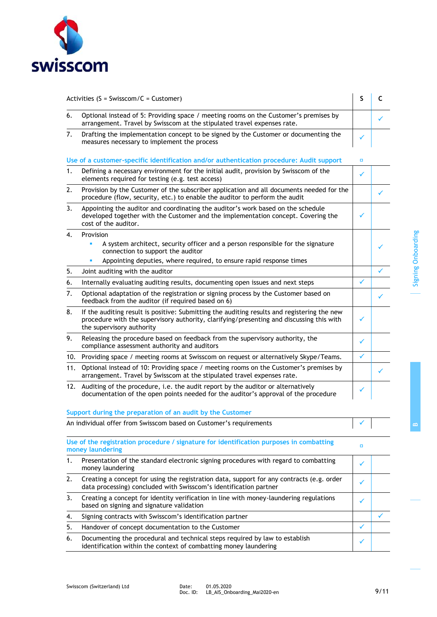

| Activities ( $S = Swisscom/C = Customer$ ) |                                                                                                                                                                                                                      | S            | C |
|--------------------------------------------|----------------------------------------------------------------------------------------------------------------------------------------------------------------------------------------------------------------------|--------------|---|
| 6.                                         | Optional instead of 5: Providing space / meeting rooms on the Customer's premises by<br>arrangement. Travel by Swisscom at the stipulated travel expenses rate.                                                      |              |   |
| 7.                                         | Drafting the implementation concept to be signed by the Customer or documenting the<br>measures necessary to implement the process                                                                                   |              |   |
|                                            | Use of a customer-specific identification and/or authentication procedure: Audit support                                                                                                                             | $\Box$       |   |
| 1.                                         | Defining a necessary environment for the initial audit, provision by Swisscom of the<br>elements required for testing (e.g. test access)                                                                             | ✓            |   |
| 2.                                         | Provision by the Customer of the subscriber application and all documents needed for the<br>procedure (flow, security, etc.) to enable the auditor to perform the audit                                              |              |   |
| 3.                                         | Appointing the auditor and coordinating the auditor's work based on the schedule<br>developed together with the Customer and the implementation concept. Covering the<br>cost of the auditor.                        | ✓            |   |
| 4.                                         | Provision                                                                                                                                                                                                            |              |   |
|                                            | A system architect, security officer and a person responsible for the signature<br>n,<br>connection to support the auditor                                                                                           |              |   |
|                                            | Appointing deputies, where required, to ensure rapid response times                                                                                                                                                  |              |   |
| 5.                                         | Joint auditing with the auditor                                                                                                                                                                                      |              |   |
| 6.                                         | Internally evaluating auditing results, documenting open issues and next steps                                                                                                                                       | $\checkmark$ |   |
| 7.                                         | Optional adaptation of the registration or signing process by the Customer based on<br>feedback from the auditor (if required based on 6)                                                                            |              |   |
| 8.                                         | If the auditing result is positive: Submitting the auditing results and registering the new<br>procedure with the supervisory authority, clarifying/presenting and discussing this with<br>the supervisory authority | ✓            |   |
| 9.                                         | Releasing the procedure based on feedback from the supervisory authority, the<br>compliance assessment authority and auditors                                                                                        | ✓            |   |
| 10.                                        | Providing space / meeting rooms at Swisscom on request or alternatively Skype/Teams.                                                                                                                                 | ✓            |   |
| 11.                                        | Optional instead of 10: Providing space / meeting rooms on the Customer's premises by<br>arrangement. Travel by Swisscom at the stipulated travel expenses rate.                                                     |              |   |
|                                            | 12. Auditing of the procedure, i.e. the audit report by the auditor or alternatively<br>documentation of the open points needed for the auditor's approval of the procedure                                          |              |   |
|                                            | Support during the preparation of an audit by the Customer                                                                                                                                                           |              |   |
|                                            | An individual offer from Swisscom based on Customer's requirements                                                                                                                                                   |              |   |
|                                            | Use of the registration procedure / signature for identification purposes in combatting<br>money laundering                                                                                                          | о            |   |
| 1.                                         | Presentation of the standard electronic signing procedures with regard to combatting<br>money laundering                                                                                                             | ✓            |   |
| 2.                                         | Creating a concept for using the registration data, support for any contracts (e.g. order<br>data processing) concluded with Swisscom's identification partner                                                       | ✓            |   |
| 3.                                         | Creating a concept for identity verification in line with money-laundering regulations<br>based on signing and signature validation                                                                                  | ✓            |   |
| 4.                                         | Signing contracts with Swisscom's identification partner                                                                                                                                                             |              |   |
| 5.                                         | Handover of concept documentation to the Customer                                                                                                                                                                    | ✓            |   |
| 6.                                         | Documenting the procedural and technical steps required by law to establish<br>identification within the context of combatting money laundering                                                                      | ✓            |   |
|                                            |                                                                                                                                                                                                                      |              |   |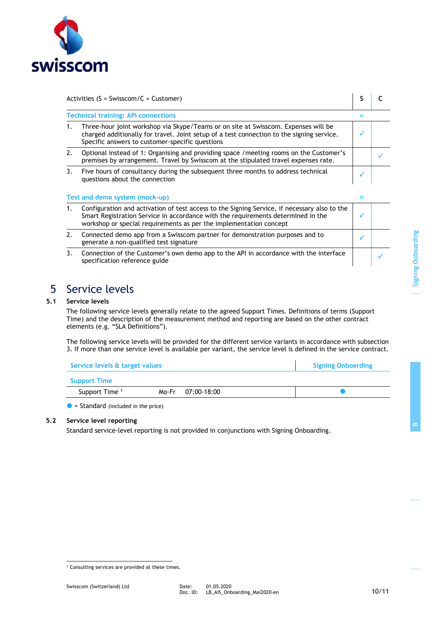

| Activities (S = Swisscom/C = Customer) | S C |  |
|----------------------------------------|-----|--|
|                                        |     |  |

|                                            |                                                                                                                                                                                                                                                        | o |  |  |
|--------------------------------------------|--------------------------------------------------------------------------------------------------------------------------------------------------------------------------------------------------------------------------------------------------------|---|--|--|
| <b>Technical training: API connections</b> |                                                                                                                                                                                                                                                        |   |  |  |
| 1.                                         | Three-hour joint workshop via Skype/Teams or on site at Swisscom. Expenses will be<br>charged additionally for travel. Joint setup of a test connection to the signing service.<br>Specific answers to customer-specific questions                     |   |  |  |
| 2.                                         | Optional instead of 1: Organising and providing space / meeting rooms on the Customer's<br>premises by arrangement. Travel by Swisscom at the stipulated travel expenses rate.                                                                         |   |  |  |
|                                            |                                                                                                                                                                                                                                                        |   |  |  |
|                                            | Five hours of consultancy during the subsequent three months to address technical<br>questions about the connection                                                                                                                                    |   |  |  |
| 3.                                         |                                                                                                                                                                                                                                                        |   |  |  |
|                                            | Test and demo system (mock-up)                                                                                                                                                                                                                         | о |  |  |
| 1.                                         | Configuration and activation of test access to the Signing Service, if necessary also to the<br>Smart Registration Service in accordance with the requirements determined in the<br>workshop or special requirements as per the implementation concept |   |  |  |
| 2.                                         | Connected demo app from a Swisscom partner for demonstration purposes and to<br>generate a non-qualified test signature                                                                                                                                | ✓ |  |  |

### 5 Service levels

#### **5.1 Service levels**

The following service levels generally relate to the agreed Support Times. Definitions of terms (Support Time) and the description of the measurement method and reporting are based on the other contract elements (e.g. "SLA Definitions").

The following service levels will be provided for the different service variants in accordance with subsection 3. If more than one service level is available per variant, the service level is defined in the service contract.

| Service levels & target values | <b>Signing Onboarding</b> |             |  |
|--------------------------------|---------------------------|-------------|--|
| <b>Support Time</b>            |                           |             |  |
| Support Time <sup>1</sup>      | Mo-Fr                     | 07:00-18:00 |  |

 $\bullet$  = Standard (included in the price)

#### **5.2 Service level reporting**

Standard service-level reporting is not provided in conjunctions with Signing Onboarding.

**B**

<sup>&</sup>lt;sup>1</sup> Consulting services are provided at these times.